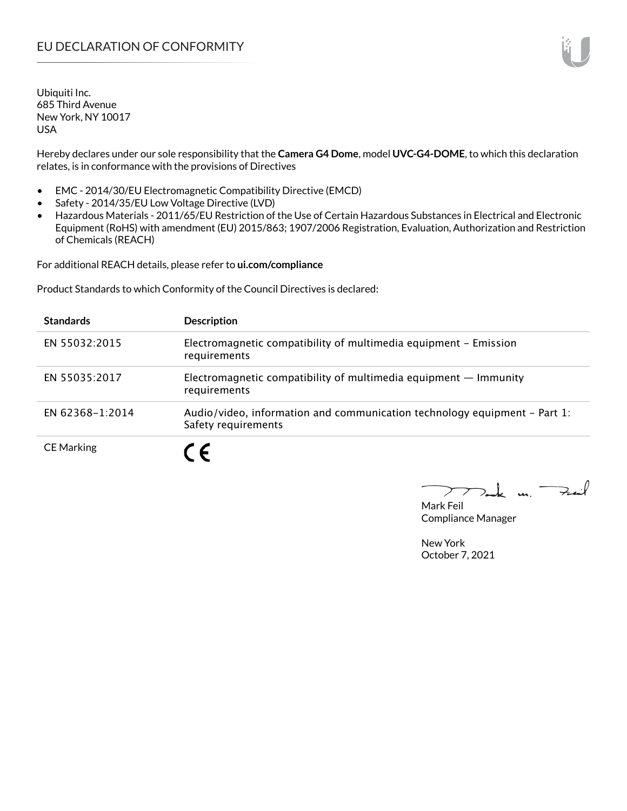Hereby declares under our sole responsibility that the **Camera G4 Dome**, model **UVC-G4-DOME**, to which this declaration relates, is in conformance with the provisions of Directives

- EMC 2014/30/EU Electromagnetic Compatibility Directive (EMCD)
- Safety 2014/35/EU Low Voltage Directive (LVD)
- Hazardous Materials 2011/65/EU Restriction of the Use of Certain Hazardous Substances in Electrical and Electronic Equipment (RoHS) with amendment (EU) 2015/863; 1907/2006 Registration, Evaluation, Authorization and Restriction of Chemicals (REACH)

For additional REACH details, please refer to **ui.com/compliance**

Product Standards to which Conformity of the Council Directives is declared:

| <b>Standards</b>  | <b>Description</b>                                                                               |
|-------------------|--------------------------------------------------------------------------------------------------|
| EN 55032:2015     | Electromagnetic compatibility of multimedia equipment - Emission<br>requirements                 |
| EN 55035:2017     | Electromagnetic compatibility of multimedia equipment $-$ Immunity<br>requirements               |
| EN 62368-1:2014   | Audio/video, information and communication technology equipment – Part 1:<br>Safety requirements |
| <b>CE Marking</b> |                                                                                                  |

 $k$  un  $\rightarrow$  $\triangleright$ 

Mark Feil Compliance Manager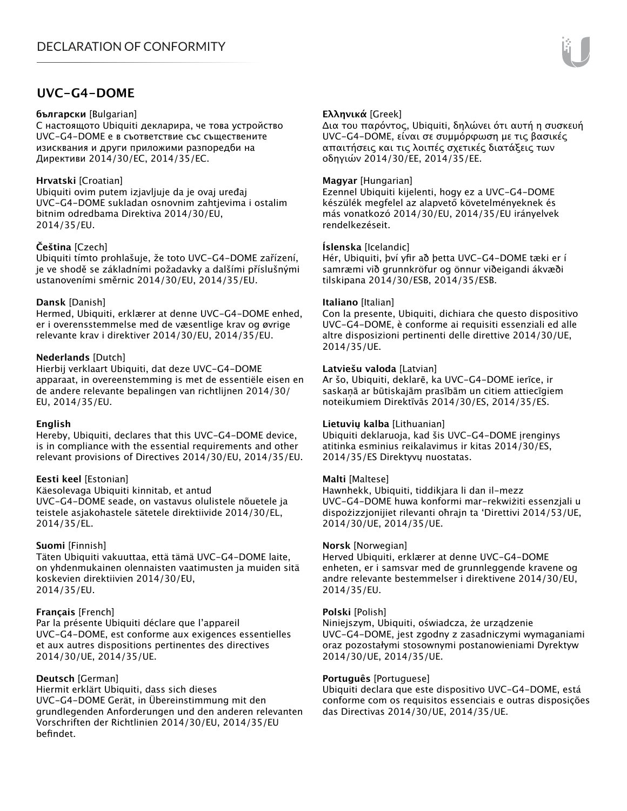### **UVC-G4-DOME**

#### **български** [Bulgarian]

С настоящото Ubiquiti декларира, че това устройство UVC-G4-DOME е в съответствие със съществените изисквания и други приложими разпоредби на Директиви 2014/30/ЕС, 2014/35/ЕС.

#### **Hrvatski** [Croatian]

Ubiquiti ovim putem izjavljuje da je ovaj uređaj UVC-G4-DOME sukladan osnovnim zahtjevima i ostalim bitnim odredbama Direktiva 2014/30/EU, 2014/35/EU.

#### **Čeština** [Czech]

Ubiquiti tímto prohlašuje, že toto UVC-G4-DOME zařízení, je ve shodě se základními požadavky a dalšími příslušnými ustanoveními směrnic 2014/30/EU, 2014/35/EU.

#### **Dansk** [Danish]

Hermed, Ubiquiti, erklærer at denne UVC-G4-DOME enhed, er i overensstemmelse med de væsentlige krav og øvrige relevante krav i direktiver 2014/30/EU, 2014/35/EU.

#### **Nederlands** [Dutch]

Hierbij verklaart Ubiquiti, dat deze UVC-G4-DOME apparaat, in overeenstemming is met de essentiële eisen en de andere relevante bepalingen van richtlijnen 2014/30/ EU, 2014/35/EU.

#### **English**

Hereby, Ubiquiti, declares that this UVC-G4-DOME device, is in compliance with the essential requirements and other relevant provisions of Directives 2014/30/EU, 2014/35/EU.

#### **Eesti keel** [Estonian]

Käesolevaga Ubiquiti kinnitab, et antud UVC-G4-DOME seade, on vastavus olulistele nõuetele ja teistele asjakohastele sätetele direktiivide 2014/30/EL, 2014/35/EL.

#### **Suomi** [Finnish]

Täten Ubiquiti vakuuttaa, että tämä UVC-G4-DOME laite, on yhdenmukainen olennaisten vaatimusten ja muiden sitä koskevien direktiivien 2014/30/EU, 2014/35/EU.

#### **Français** [French]

Par la présente Ubiquiti déclare que l'appareil UVC-G4-DOME, est conforme aux exigences essentielles et aux autres dispositions pertinentes des directives 2014/30/UE, 2014/35/UE.

#### **Deutsch** [German]

Hiermit erklärt Ubiquiti, dass sich dieses UVC-G4-DOME Gerät, in Übereinstimmung mit den grundlegenden Anforderungen und den anderen relevanten Vorschriften der Richtlinien 2014/30/EU, 2014/35/EU befindet.

#### **Ελληνικά** [Greek]

Δια του παρόντος, Ubiquiti, δηλώνει ότι αυτή η συσκευή UVC-G4-DOME, είναι σε συμμόρφωση με τις βασικές απαιτήσεις και τις λοιπές σχετικές διατάξεις των οδηγιών 2014/30/EE, 2014/35/EE.

#### **Magyar** [Hungarian]

Ezennel Ubiquiti kijelenti, hogy ez a UVC-G4-DOME készülék megfelel az alapvető követelményeknek és más vonatkozó 2014/30/EU, 2014/35/EU irányelvek rendelkezéseit.

#### **Íslenska** [Icelandic]

Hér, Ubiquiti, því yfir að þetta UVC-G4-DOME tæki er í samræmi við grunnkröfur og önnur viðeigandi ákvæði tilskipana 2014/30/ESB, 2014/35/ESB.

#### **Italiano** [Italian]

Con la presente, Ubiquiti, dichiara che questo dispositivo UVC-G4-DOME, è conforme ai requisiti essenziali ed alle altre disposizioni pertinenti delle direttive 2014/30/UE, 2014/35/UE.

#### **Latviešu valoda** [Latvian]

Ar šo, Ubiquiti, deklarē, ka UVC-G4-DOME ierīce, ir saskaņā ar būtiskajām prasībām un citiem attiecīgiem noteikumiem Direktīvās 2014/30/ES, 2014/35/ES.

#### **Lietuvių kalba** [Lithuanian]

Ubiquiti deklaruoja, kad šis UVC-G4-DOME įrenginys atitinka esminius reikalavimus ir kitas 2014/30/ES, 2014/35/ES Direktyvų nuostatas.

#### **Malti** [Maltese]

Hawnhekk, Ubiquiti, tiddikjara li dan il-mezz UVC-G4-DOME huwa konformi mar-rekwiżiti essenzjali u dispożizzjonijiet rilevanti oħrajn ta 'Direttivi 2014/53/UE, 2014/30/UE, 2014/35/UE.

#### **Norsk** [Norwegian]

Herved Ubiquiti, erklærer at denne UVC-G4-DOME enheten, er i samsvar med de grunnleggende kravene og andre relevante bestemmelser i direktivene 2014/30/EU, 2014/35/EU.

#### **Polski** [Polish]

Niniejszym, Ubiquiti, oświadcza, że urządzenie UVC-G4-DOME, jest zgodny z zasadniczymi wymaganiami oraz pozostałymi stosownymi postanowieniami Dyrektyw 2014/30/UE, 2014/35/UE.

#### **Português** [Portuguese]

Ubiquiti declara que este dispositivo UVC-G4-DOME, está conforme com os requisitos essenciais e outras disposições das Directivas 2014/30/UE, 2014/35/UE.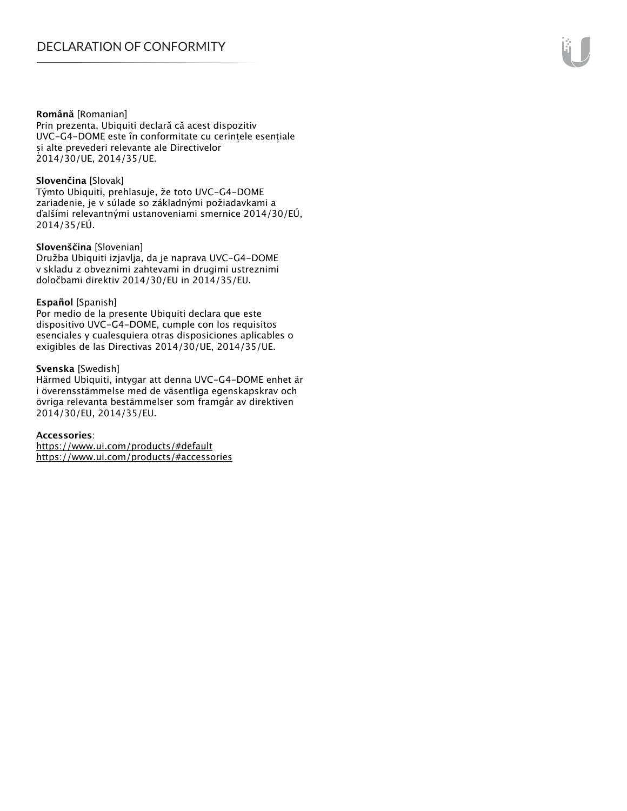#### **Română** [Romanian]

Prin prezenta, Ubiquiti declară că acest dispozitiv UVC-G4-DOME este în conformitate cu cerințele esențiale și alte prevederi relevante ale Directivelor 2014/30/UE, 2014/35/UE.

#### **Slovenčina** [Slovak]

Týmto Ubiquiti, prehlasuje, že toto UVC-G4-DOME zariadenie, je v súlade so základnými požiadavkami a ďalšími relevantnými ustanoveniami smernice 2014/30/EÚ, 2014/35/EÚ.

#### **Slovenščina** [Slovenian]

Družba Ubiquiti izjavlja, da je naprava UVC-G4-DOME v skladu z obveznimi zahtevami in drugimi ustreznimi določbami direktiv 2014/30/EU in 2014/35/EU.

#### **Español** [Spanish]

Por medio de la presente Ubiquiti declara que este dispositivo UVC-G4-DOME, cumple con los requisitos esenciales y cualesquiera otras disposiciones aplicables o exigibles de las Directivas 2014/30/UE, 2014/35/UE.

#### **Svenska** [Swedish]

Härmed Ubiquiti, intygar att denna UVC-G4-DOME enhet är i överensstämmelse med de väsentliga egenskapskrav och övriga relevanta bestämmelser som framgår av direktiven 2014/30/EU, 2014/35/EU.

#### **Accessories**:

https://www.ui.com/products/#default https://www.ui.com/products/#accessories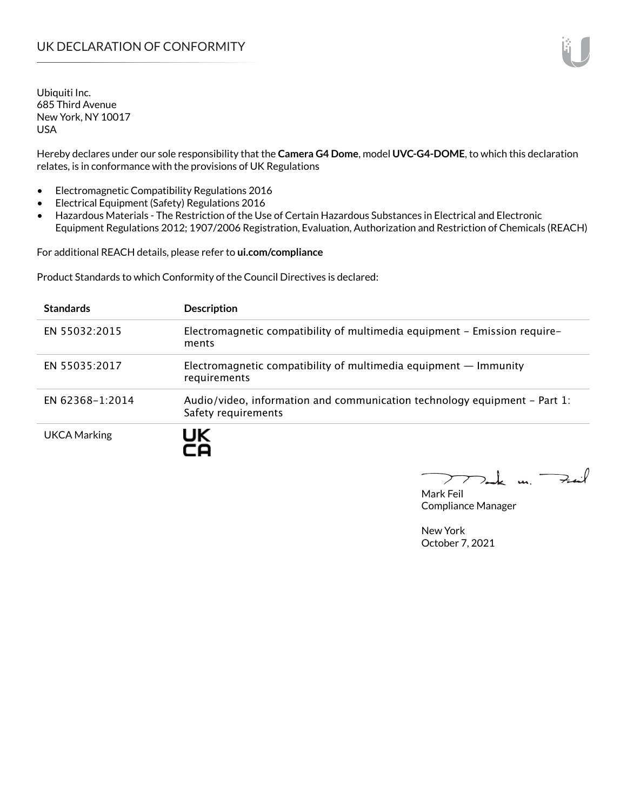Hereby declares under our sole responsibility that the **Camera G4 Dome**, model **UVC-G4-DOME**, to which this declaration relates, is in conformance with the provisions of UK Regulations

- Electromagnetic Compatibility Regulations 2016
- Electrical Equipment (Safety) Regulations 2016
- Hazardous Materials The Restriction of the Use of Certain Hazardous Substances in Electrical and Electronic Equipment Regulations 2012; 1907/2006 Registration, Evaluation, Authorization and Restriction of Chemicals (REACH)

For additional REACH details, please refer to **ui.com/compliance**

Product Standards to which Conformity of the Council Directives is declared:

| <b>Standards</b> | <b>Description</b>                                                                                 |
|------------------|----------------------------------------------------------------------------------------------------|
| EN 55032:2015    | Electromagnetic compatibility of multimedia equipment - Emission require-<br>ments                 |
| EN 55035:2017    | Electromagnetic compatibility of multimedia equipment $-$ Immunity<br>requirements                 |
| EN 62368-1:2014  | Audio/video, information and communication technology equipment $-$ Part 1:<br>Safety requirements |
| UKCA Marking     |                                                                                                    |

 $u_1$   $\rightarrow$ 

Mark Feil Compliance Manager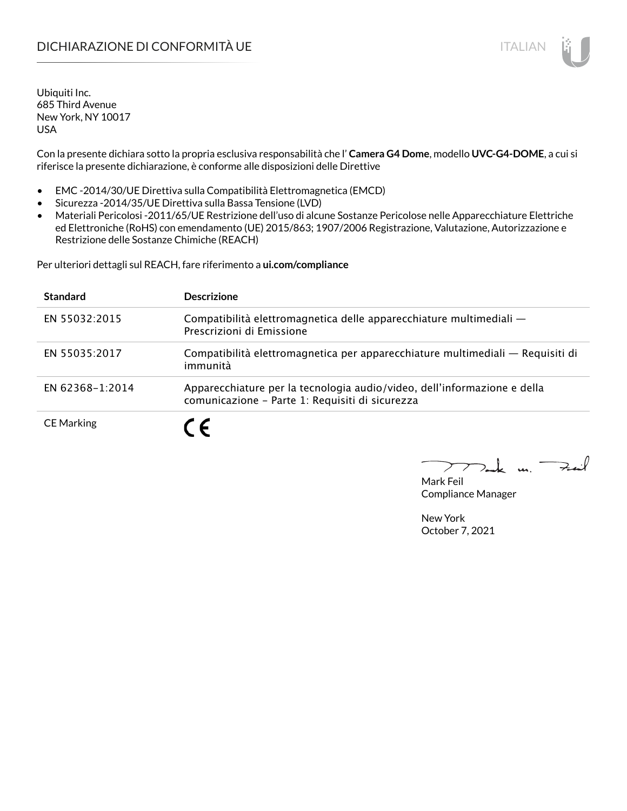### DICHIARAZIONE DI CONFORMITÀ UE ITALIAN ITALIAN

Ubiquiti Inc. 685 Third Avenue New York, NY 10017 USA

Con la presente dichiara sotto la propria esclusiva responsabilità che l' **Camera G4 Dome**, modello **UVC-G4-DOME**, a cui si riferisce la presente dichiarazione, è conforme alle disposizioni delle Direttive

- EMC -2014/30/UE Direttiva sulla Compatibilità Elettromagnetica (EMCD)
- Sicurezza -2014/35/UE Direttiva sulla Bassa Tensione (LVD)
- Materiali Pericolosi -2011/65/UE Restrizione dell'uso di alcune Sostanze Pericolose nelle Apparecchiature Elettriche ed Elettroniche (RoHS) con emendamento (UE) 2015/863; 1907/2006 Registrazione, Valutazione, Autorizzazione e Restrizione delle Sostanze Chimiche (REACH)

Per ulteriori dettagli sul REACH, fare riferimento a **ui.com/compliance**

| <b>Standard</b>   | <b>Descrizione</b>                                                                                                          |
|-------------------|-----------------------------------------------------------------------------------------------------------------------------|
| EN 55032:2015     | Compatibilità elettromagnetica delle apparecchiature multimediali —<br>Prescrizioni di Emissione                            |
| EN 55035:2017     | Compatibilità elettromagnetica per apparecchiature multimediali — Requisiti di<br>immunità                                  |
| EN 62368-1:2014   | Apparecchiature per la tecnologia audio/video, dell'informazione e della<br>comunicazione - Parte 1: Requisiti di sicurezza |
| <b>CE Marking</b> |                                                                                                                             |

m. Fail

Mark Feil Compliance Manager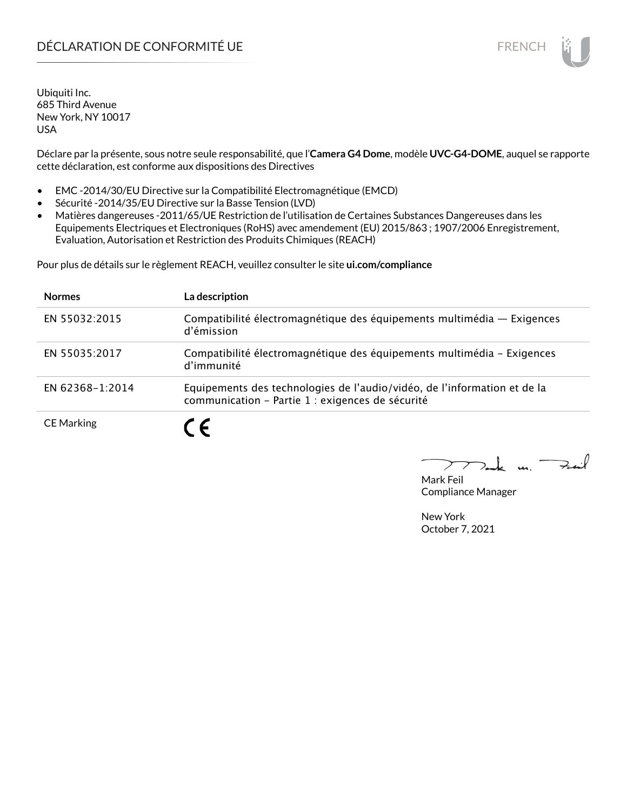## DÉCLARATION DE CONFORMITÉ UE EN ENCHANGEMENT DE CONFORMITÉ UNE ENCHANGEMENT DE CONFORMITÉ UNE ENCHANGEMENT DE

Ubiquiti Inc. 685 Third Avenue New York, NY 10017 USA

Déclare par la présente, sous notre seule responsabilité, que l'**Camera G4 Dome**, modèle **UVC-G4-DOME**, auquel se rapporte cette déclaration, est conforme aux dispositions des Directives

- EMC -2014/30/EU Directive sur la Compatibilité Electromagnétique (EMCD)
- Sécurité -2014/35/EU Directive sur la Basse Tension (LVD)
- Matières dangereuses -2011/65/UE Restriction de l'utilisation de Certaines Substances Dangereuses dans les Equipements Electriques et Electroniques (RoHS) avec amendement (EU) 2015/863 ; 1907/2006 Enregistrement, Evaluation, Autorisation et Restriction des Produits Chimiques (REACH)

Pour plus de détails sur le règlement REACH, veuillez consulter le site **ui.com/compliance**

| <b>Normes</b>     | La description                                                                                                               |
|-------------------|------------------------------------------------------------------------------------------------------------------------------|
| EN 55032:2015     | Compatibilité électromagnétique des équipements multimédia - Exigences<br>d'émission                                         |
| EN 55035:2017     | Compatibilité électromagnétique des équipements multimédia - Exigences<br>d'immunité                                         |
| EN 62368-1:2014   | Equipements des technologies de l'audio/vidéo, de l'information et de la<br>communication - Partie 1 : exigences de sécurité |
| <b>CE Marking</b> |                                                                                                                              |

 $\downarrow$  un  $\rightarrow$ 

Mark Feil Compliance Manager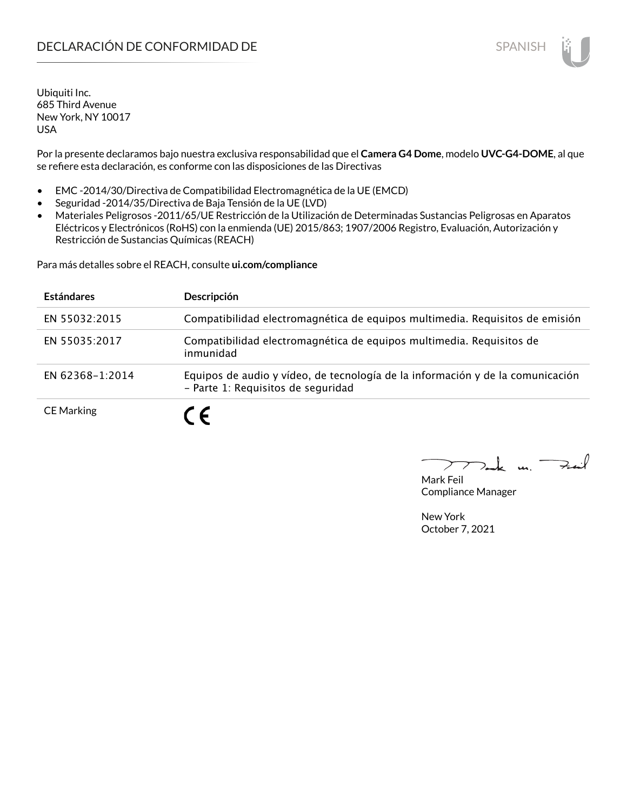Por la presente declaramos bajo nuestra exclusiva responsabilidad que el **Camera G4 Dome**, modelo **UVC-G4-DOME**, al que se refiere esta declaración, es conforme con las disposiciones de las Directivas

- EMC -2014/30/Directiva de Compatibilidad Electromagnética de la UE (EMCD)
- Seguridad -2014/35/Directiva de Baja Tensión de la UE (LVD)
- Materiales Peligrosos -2011/65/UE Restricción de la Utilización de Determinadas Sustancias Peligrosas en Aparatos Eléctricos y Electrónicos (RoHS) con la enmienda (UE) 2015/863; 1907/2006 Registro, Evaluación, Autorización y Restricción de Sustancias Químicas (REACH)

Para más detalles sobre el REACH, consulte **ui.com/compliance**

| <b>Estándares</b> | Descripción                                                                                                          |
|-------------------|----------------------------------------------------------------------------------------------------------------------|
| EN 55032:2015     | Compatibilidad electromagnética de equipos multimedia. Requisitos de emisión                                         |
| EN 55035:2017     | Compatibilidad electromagnética de equipos multimedia. Requisitos de<br>inmunidad                                    |
| EN 62368-1:2014   | Equipos de audio y vídeo, de tecnología de la información y de la comunicación<br>- Parte 1: Requisitos de seguridad |
| <b>CE Marking</b> | C E                                                                                                                  |

 $k$  un  $\rightarrow$ 

Mark Feil Compliance Manager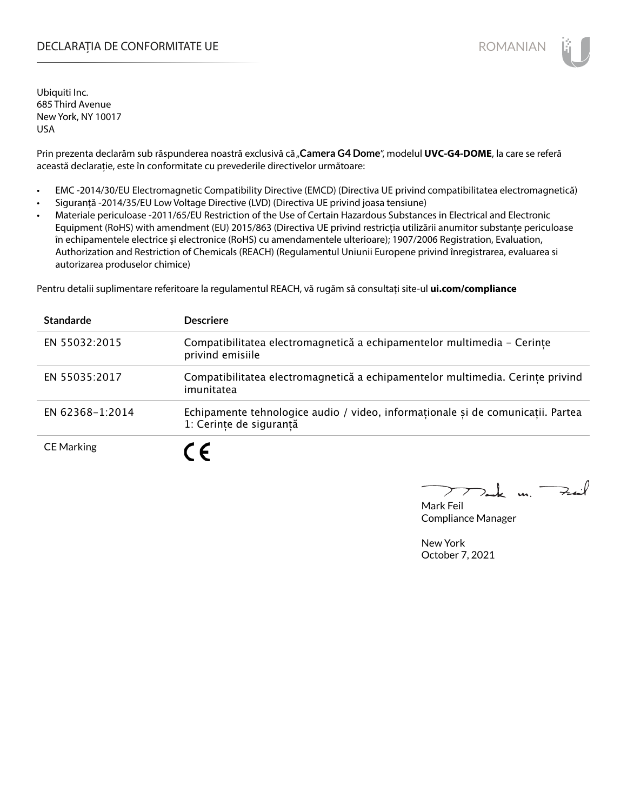### DECLARAȚIA DE CONFORMITATE UE EXTERNATION ANNO 1999 EN ANNO 1999 ROMANIAN

Ubiquiti Inc. 685 Third Avenue New York, NY 10017 USA

Prin prezenta declarăm sub răspunderea noastră exclusivă că "Camera G4 Dome", modelul UVC-G4-DOME, la care se referă această declarație, este în conformitate cu prevederile directivelor următoare:

- EMC -2014/30/EU Electromagnetic Compatibility Directive (EMCD) (Directiva UE privind compatibilitatea electromagnetică)
- Siguranță -2014/35/EU Low Voltage Directive (LVD) (Directiva UE privind joasa tensiune)
- Materiale periculoase -2011/65/EU Restriction of the Use of Certain Hazardous Substances in Electrical and Electronic Equipment (RoHS) with amendment (EU) 2015/863 (Directiva UE privind restricția utilizării anumitor substanțe periculoase în echipamentele electrice și electronice (RoHS) cu amendamentele ulterioare); 1907/2006 Registration, Evaluation, Authorization and Restriction of Chemicals (REACH) (Regulamentul Uniunii Europene privind înregistrarea, evaluarea si autorizarea produselor chimice)

Pentru detalii suplimentare referitoare la regulamentul REACH, vă rugăm să consultați site-ul **ui.com/compliance**

| <b>Standarde</b>  | <b>Descriere</b>                                                                                           |
|-------------------|------------------------------------------------------------------------------------------------------------|
| EN 55032:2015     | Compatibilitatea electromagnetică a echipamentelor multimedia - Cerințe<br>privind emisiile                |
| EN 55035:2017     | Compatibilitatea electromagnetică a echipamentelor multimedia. Cerințe privind<br>imunitatea               |
| EN 62368-1:2014   | Echipamente tehnologice audio / video, informaționale și de comunicații. Partea<br>1: Cerinte de sigurantă |
| <b>CE Marking</b> | C F                                                                                                        |

 $k$  un  $\rightarrow$ 

Mark Feil Compliance Manager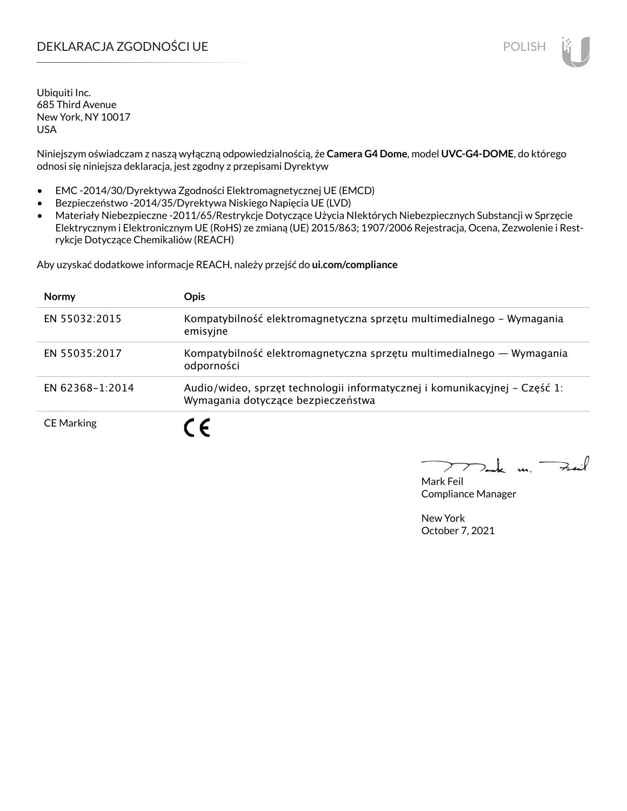### DEKLARACJA ZGODNOŚCI UE POLISH POLISH

Ubiquiti Inc. 685 Third Avenue New York, NY 10017 USA

Niniejszym oświadczam z naszą wyłączną odpowiedzialnością, że **Camera G4 Dome**, model **UVC-G4-DOME**, do którego odnosi się niniejsza deklaracja, jest zgodny z przepisami Dyrektyw

- EMC -2014/30/Dyrektywa Zgodności Elektromagnetycznej UE (EMCD)
- Bezpieczeństwo -2014/35/Dyrektywa Niskiego Napięcia UE (LVD)
- Materiały Niebezpieczne -2011/65/Restrykcje Dotyczące Użycia NIektórych Niebezpiecznych Substancji w Sprzęcie Elektrycznym i Elektronicznym UE (RoHS) ze zmianą (UE) 2015/863; 1907/2006 Rejestracja, Ocena, Zezwolenie i Restrykcje Dotyczące Chemikaliów (REACH)

Aby uzyskać dodatkowe informacje REACH, należy przejść do **ui.com/compliance**

| <b>Normy</b>      | <b>Opis</b>                                                                                                      |
|-------------------|------------------------------------------------------------------------------------------------------------------|
| EN 55032:2015     | Kompatybilność elektromagnetyczna sprzętu multimedialnego – Wymagania<br>emisyjne                                |
| EN 55035:2017     | Kompatybilność elektromagnetyczna sprzętu multimedialnego — Wymagania<br>odporności                              |
| EN 62368-1:2014   | Audio/wideo, sprzęt technologii informatycznej i komunikacyjnej – Część 1:<br>Wymagania dotyczące bezpieczeństwa |
| <b>CE Marking</b> |                                                                                                                  |

لمنعة  $\mathbf{u}$ 

Mark Feil Compliance Manager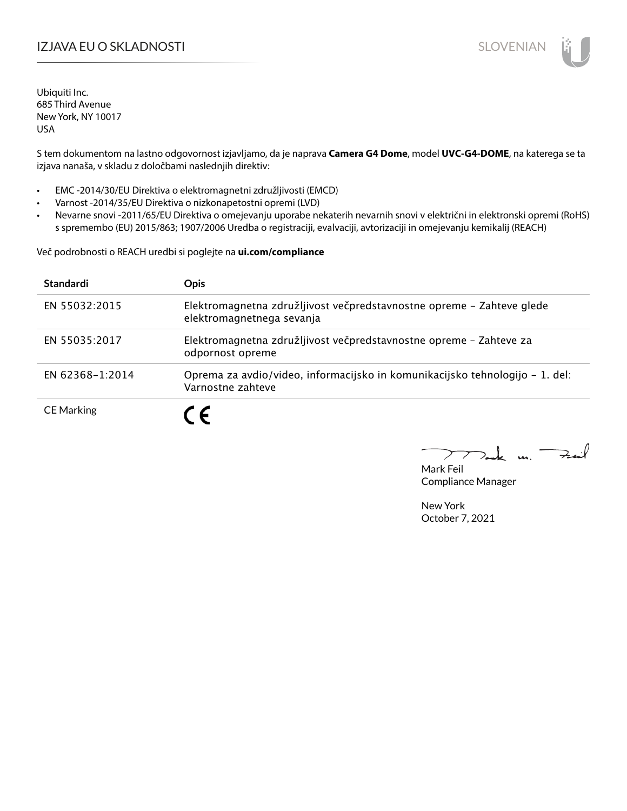### IZJAVA EU O SKLADNOSTI SLOVENIAN SLOVENIAN

Ubiquiti Inc. 685 Third Avenue New York, NY 10017 USA

S tem dokumentom na lastno odgovornost izjavljamo, da je naprava **Camera G4 Dome**, model **UVC-G4-DOME**, na katerega se ta izjava nanaša, v skladu z določbami naslednjih direktiv:

- EMC -2014/30/EU Direktiva o elektromagnetni združljivosti (EMCD)
- Varnost -2014/35/EU Direktiva o nizkonapetostni opremi (LVD)
- Nevarne snovi -2011/65/EU Direktiva o omejevanju uporabe nekaterih nevarnih snovi v električni in elektronski opremi (RoHS) s spremembo (EU) 2015/863; 1907/2006 Uredba o registraciji, evalvaciji, avtorizaciji in omejevanju kemikalij (REACH)

Več podrobnosti o REACH uredbi si poglejte na **ui.com/compliance**

| Standardi         | <b>Opis</b>                                                                                        |
|-------------------|----------------------------------------------------------------------------------------------------|
| EN 55032:2015     | Elektromagnetna združljivost večpredstavnostne opreme - Zahteve glede<br>elektromagnetnega sevanja |
| EN 55035:2017     | Elektromagnetna združljivost večpredstavnostne opreme - Zahteve za<br>odpornost opreme             |
| EN 62368-1:2014   | Oprema za avdio/video, informacijsko in komunikacijsko tehnologijo – 1. del:<br>Varnostne zahteve  |
| <b>CE Marking</b> | C E                                                                                                |

كمنعة  $\mathbf{A}$ 

Mark Feil Compliance Manager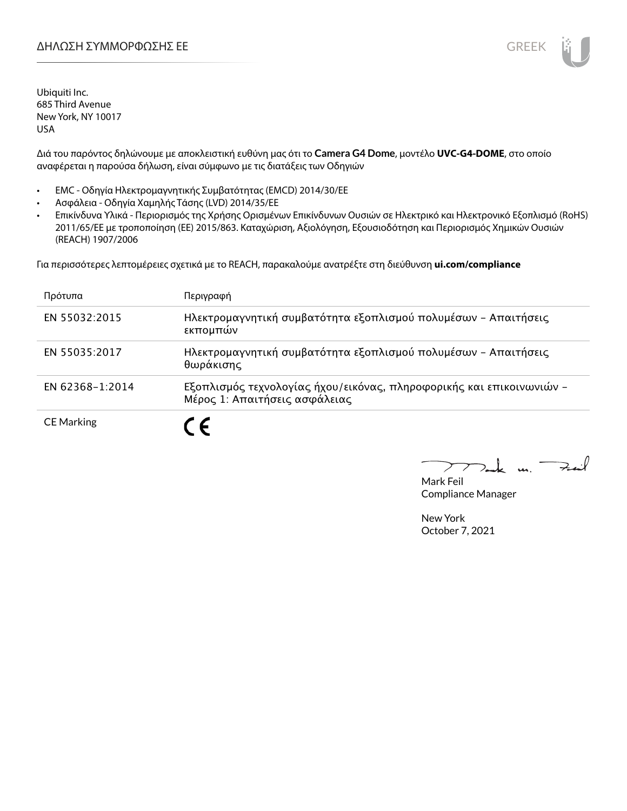Διά του παρόντος δηλώνουμε με αποκλειστική ευθύνη μας ότι το **Camera G4 Dome**, μοντέλο **UVC-G4-DOME**, στο οποίο αναφέρεται η παρούσα δήλωση, είναι σύμφωνο με τις διατάξεις των Οδηγιών

- EMC Οδηγία Ηλεκτρομαγνητικής Συμβατότητας (EMCD) 2014/30/ΕΕ
- Ασφάλεια Οδηγία Χαμηλής Τάσης (LVD) 2014/35/ΕΕ
- Επικίνδυνα Υλικά Περιορισμός της Χρήσης Ορισμένων Επικίνδυνων Ουσιών σε Ηλεκτρικό και Ηλεκτρονικό Εξοπλισμό (RoHS) 2011/65/ΕΕ με τροποποίηση (ΕΕ) 2015/863. Καταχώριση, Αξιολόγηση, Εξουσιοδότηση και Περιορισμός Χημικών Ουσιών (REACH) 1907/2006

Για περισσότερες λεπτομέρειες σχετικά με το REACH, παρακαλούμε ανατρέξτε στη διεύθυνση **ui.com/compliance**

| Πρότυπα           | Περιγραφή                                                                                             |
|-------------------|-------------------------------------------------------------------------------------------------------|
| EN 55032:2015     | Ηλεκτρομαγνητική συμβατότητα εξοπλισμού πολυμέσων - Απαιτήσεις<br>εκπομπών                            |
| EN 55035:2017     | Ηλεκτρομαγνητική συμβατότητα εξοπλισμού πολυμέσων - Απαιτήσεις<br>θωράκισης                           |
| EN 62368-1:2014   | Εξοπλισμός τεχνολογίας ήχου/εικόνας, πληροφορικής και επικοινωνιών -<br>Μέρος 1: Απαιτήσεις ασφάλειας |
| <b>CE Marking</b> |                                                                                                       |

m. Fail

Mark Feil Compliance Manager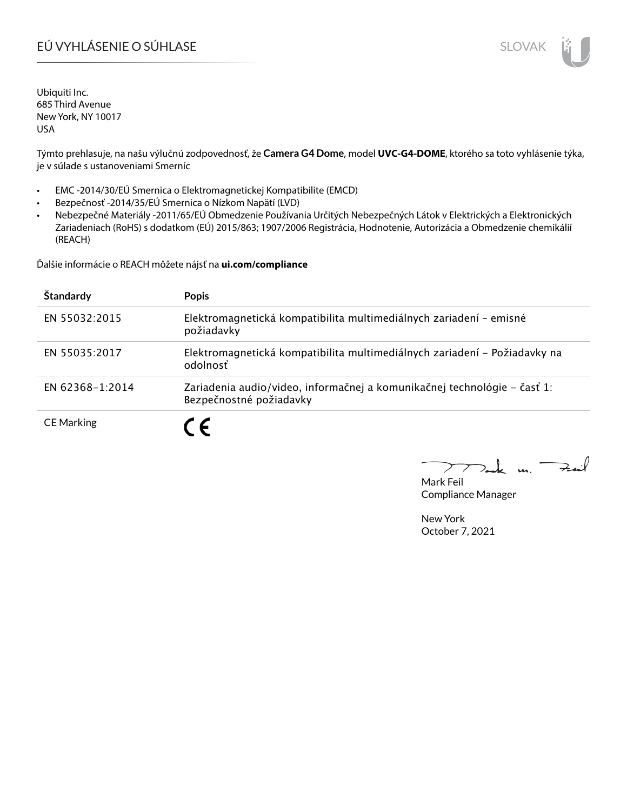# EÚ VYHLÁSENIE O SÚHLASE SLOVAK SLOVAK

Ubiquiti Inc. 685 Third Avenue New York, NY 10017 USA

Týmto prehlasuje, na našu výlučnú zodpovednosť, že **Camera G4 Dome**, model **UVC-G4-DOME**, ktorého sa toto vyhlásenie týka, je v súlade s ustanoveniami Smerníc

- EMC -2014/30/EÚ Smernica o Elektromagnetickej Kompatibilite (EMCD)
- Bezpečnosť -2014/35/EÚ Smernica o Nízkom Napätí (LVD)
- Nebezpečné Materiály -2011/65/EÚ Obmedzenie Používania Určitých Nebezpečných Látok v Elektrických a Elektronických Zariadeniach (RoHS) s dodatkom (EÚ) 2015/863; 1907/2006 Registrácia, Hodnotenie, Autorizácia a Obmedzenie chemikálií (REACH)

Ďalšie informácie o REACH môžete nájsť na **ui.com/compliance**

| Štandardy         | <b>Popis</b>                                                                                        |
|-------------------|-----------------------------------------------------------------------------------------------------|
| EN 55032:2015     | Elektromagnetická kompatibilita multimediálnych zariadení - emisné<br>požiadavky                    |
| EN 55035:2017     | Elektromagnetická kompatibilita multimediálnych zariadení – Požiadavky na<br>odolnosť               |
| EN 62368-1:2014   | Zariadenia audio/video, informačnej a komunikačnej technológie – časť 1:<br>Bezpečnostné požiadavky |
| <b>CE Marking</b> |                                                                                                     |

m. Fail

Mark Feil Compliance Manager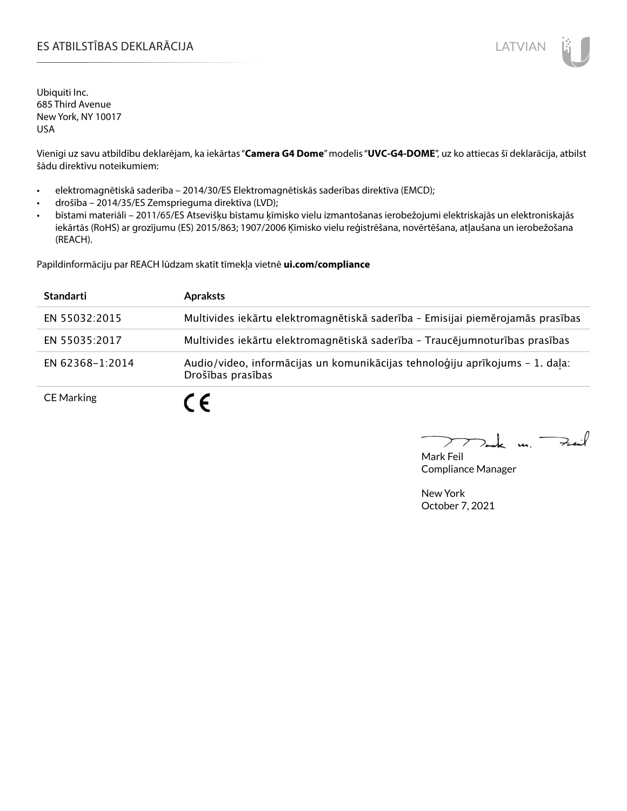### ES ATBILSTĪBAS DEKLARĀCIJA LATVIAN

Ubiquiti Inc. 685 Third Avenue New York, NY 10017 USA

Vienīgi uz savu atbildību deklarējam, ka iekārtas "**Camera G4 Dome**" modelis "**UVC-G4-DOME**", uz ko attiecas šī deklarācija, atbilst šādu direktīvu noteikumiem:

- elektromagnētiskā saderība 2014/30/ES Elektromagnētiskās saderības direktīva (EMCD);
- drošība 2014/35/ES Zemsprieguma direktīva (LVD);
- bīstami materiāli 2011/65/ES Atsevišķu bīstamu ķīmisko vielu izmantošanas ierobežojumi elektriskajās un elektroniskajās iekārtās (RoHS) ar grozījumu (ES) 2015/863; 1907/2006 Ķīmisko vielu reģistrēšana, novērtēšana, atļaušana un ierobežošana (REACH).

Papildinformāciju par REACH lūdzam skatīt tīmekļa vietnē **ui.com/compliance**

| <b>Standarti</b>  | <b>Apraksts</b>                                                                                   |
|-------------------|---------------------------------------------------------------------------------------------------|
| EN 55032:2015     | Multivides iekārtu elektromagnētiskā saderība - Emisijai piemērojamās prasības                    |
| EN 55035:2017     | Multivides iekārtu elektromagnētiskā saderība - Traucējumnoturības prasības                       |
| EN 62368-1:2014   | Audio/video, informācijas un komunikācijas tehnoloģiju aprīkojums - 1. daļa:<br>Drošības prasības |
| <b>CE Marking</b> | $\epsilon$                                                                                        |

 $k$  un  $\rightarrow$  $\rightarrow$ 

Mark Feil Compliance Manager